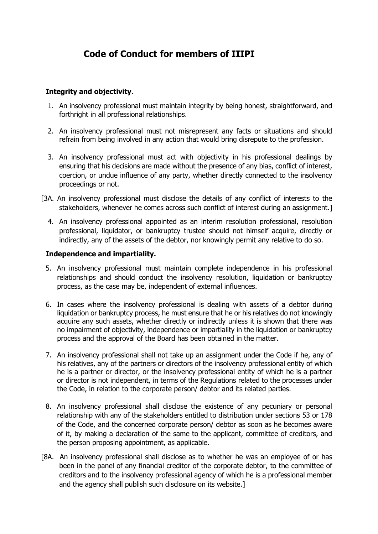# **Code of Conduct for members of IIIPI**

# **Integrity and objectivity**.

- 1. An insolvency professional must maintain integrity by being honest, straightforward, and forthright in all professional relationships.
- 2. An insolvency professional must not misrepresent any facts or situations and should refrain from being involved in any action that would bring disrepute to the profession.
- 3. An insolvency professional must act with objectivity in his professional dealings by ensuring that his decisions are made without the presence of any bias, conflict of interest, coercion, or undue influence of any party, whether directly connected to the insolvency proceedings or not.
- [3A. An insolvency professional must disclose the details of any conflict of interests to the stakeholders, whenever he comes across such conflict of interest during an assignment.]
	- 4. An insolvency professional appointed as an interim resolution professional, resolution professional, liquidator, or bankruptcy trustee should not himself acquire, directly or indirectly, any of the assets of the debtor, nor knowingly permit any relative to do so.

## **Independence and impartiality.**

- 5. An insolvency professional must maintain complete independence in his professional relationships and should conduct the insolvency resolution, liquidation or bankruptcy process, as the case may be, independent of external influences.
- 6. In cases where the insolvency professional is dealing with assets of a debtor during liquidation or bankruptcy process, he must ensure that he or his relatives do not knowingly acquire any such assets, whether directly or indirectly unless it is shown that there was no impairment of objectivity, independence or impartiality in the liquidation or bankruptcy process and the approval of the Board has been obtained in the matter.
- 7. An insolvency professional shall not take up an assignment under the Code if he, any of his relatives, any of the partners or directors of the insolvency professional entity of which he is a partner or director, or the insolvency professional entity of which he is a partner or director is not independent, in terms of the Regulations related to the processes under the Code, in relation to the corporate person/ debtor and its related parties.
- 8. An insolvency professional shall disclose the existence of any pecuniary or personal relationship with any of the stakeholders entitled to distribution under sections 53 or 178 of the Code, and the concerned corporate person/ debtor as soon as he becomes aware of it, by making a declaration of the same to the applicant, committee of creditors, and the person proposing appointment, as applicable.
- [8A. An insolvency professional shall disclose as to whether he was an employee of or has been in the panel of any financial creditor of the corporate debtor, to the committee of creditors and to the insolvency professional agency of which he is a professional member and the agency shall publish such disclosure on its website.]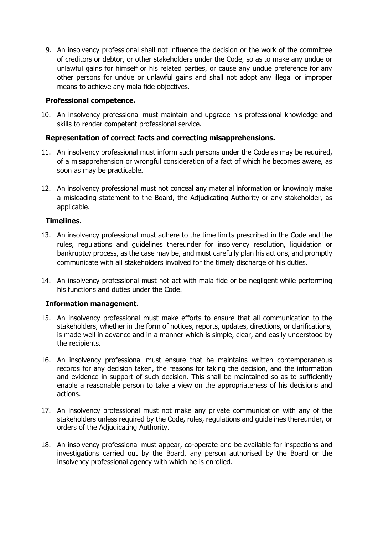9. An insolvency professional shall not influence the decision or the work of the committee of creditors or debtor, or other stakeholders under the Code, so as to make any undue or unlawful gains for himself or his related parties, or cause any undue preference for any other persons for undue or unlawful gains and shall not adopt any illegal or improper means to achieve any mala fide objectives.

## **Professional competence.**

10. An insolvency professional must maintain and upgrade his professional knowledge and skills to render competent professional service.

# **Representation of correct facts and correcting misapprehensions.**

- 11. An insolvency professional must inform such persons under the Code as may be required, of a misapprehension or wrongful consideration of a fact of which he becomes aware, as soon as may be practicable.
- 12. An insolvency professional must not conceal any material information or knowingly make a misleading statement to the Board, the Adjudicating Authority or any stakeholder, as applicable.

## **Timelines.**

- 13. An insolvency professional must adhere to the time limits prescribed in the Code and the rules, regulations and guidelines thereunder for insolvency resolution, liquidation or bankruptcy process, as the case may be, and must carefully plan his actions, and promptly communicate with all stakeholders involved for the timely discharge of his duties.
- 14. An insolvency professional must not act with mala fide or be negligent while performing his functions and duties under the Code.

# **Information management.**

- 15. An insolvency professional must make efforts to ensure that all communication to the stakeholders, whether in the form of notices, reports, updates, directions, or clarifications, is made well in advance and in a manner which is simple, clear, and easily understood by the recipients.
- 16. An insolvency professional must ensure that he maintains written contemporaneous records for any decision taken, the reasons for taking the decision, and the information and evidence in support of such decision. This shall be maintained so as to sufficiently enable a reasonable person to take a view on the appropriateness of his decisions and actions.
- 17. An insolvency professional must not make any private communication with any of the stakeholders unless required by the Code, rules, regulations and guidelines thereunder, or orders of the Adjudicating Authority.
- 18. An insolvency professional must appear, co-operate and be available for inspections and investigations carried out by the Board, any person authorised by the Board or the insolvency professional agency with which he is enrolled.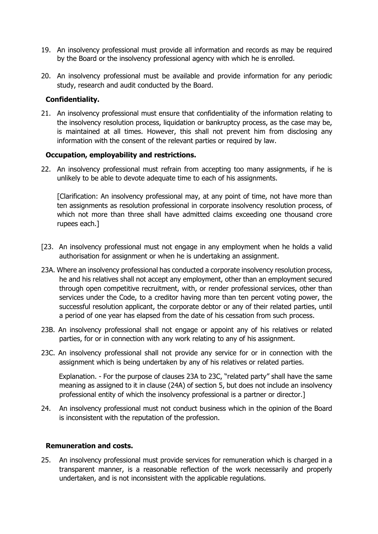- 19. An insolvency professional must provide all information and records as may be required by the Board or the insolvency professional agency with which he is enrolled.
- 20. An insolvency professional must be available and provide information for any periodic study, research and audit conducted by the Board.

# **Confidentiality.**

21. An insolvency professional must ensure that confidentiality of the information relating to the insolvency resolution process, liquidation or bankruptcy process, as the case may be, is maintained at all times. However, this shall not prevent him from disclosing any information with the consent of the relevant parties or required by law.

## **Occupation, employability and restrictions.**

22. An insolvency professional must refrain from accepting too many assignments, if he is unlikely to be able to devote adequate time to each of his assignments.

[Clarification: An insolvency professional may, at any point of time, not have more than ten assignments as resolution professional in corporate insolvency resolution process, of which not more than three shall have admitted claims exceeding one thousand crore rupees each.]

- [23. An insolvency professional must not engage in any employment when he holds a valid authorisation for assignment or when he is undertaking an assignment.
- 23A. Where an insolvency professional has conducted a corporate insolvency resolution process, he and his relatives shall not accept any employment, other than an employment secured through open competitive recruitment, with, or render professional services, other than services under the Code, to a creditor having more than ten percent voting power, the successful resolution applicant, the corporate debtor or any of their related parties, until a period of one year has elapsed from the date of his cessation from such process.
- 23B. An insolvency professional shall not engage or appoint any of his relatives or related parties, for or in connection with any work relating to any of his assignment.
- 23C. An insolvency professional shall not provide any service for or in connection with the assignment which is being undertaken by any of his relatives or related parties.

 Explanation. - For the purpose of clauses 23A to 23C, "related party" shall have the same meaning as assigned to it in clause (24A) of section 5, but does not include an insolvency professional entity of which the insolvency professional is a partner or director.]

24. An insolvency professional must not conduct business which in the opinion of the Board is inconsistent with the reputation of the profession.

#### **Remuneration and costs.**

25. An insolvency professional must provide services for remuneration which is charged in a transparent manner, is a reasonable reflection of the work necessarily and properly undertaken, and is not inconsistent with the applicable regulations.